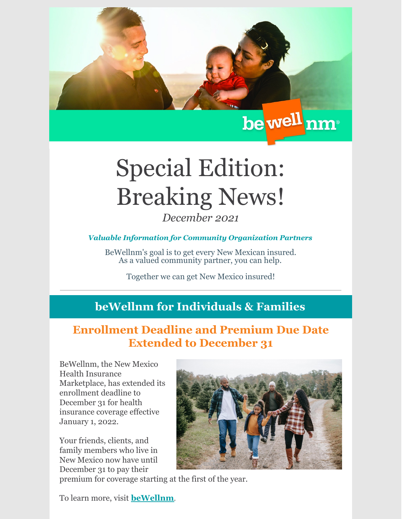

## Special Edition: Breaking News! *December 2021*

## *Valuable Information for Community Organization Partners*

BeWellnm's goal is to get every New Mexican insured. As a valued community partner, you can help.

Together we can get New Mexico insured!

## **beWellnm for Individuals & Families**

## **Enrollment Deadline and Premium Due Date Extended to December 31**

BeWellnm, the New Mexico Health Insurance Marketplace, has extended its enrollment deadline to December 31 for health insurance coverage effective January 1, 2022.

Your friends, clients, and family members who live in New Mexico now have until December 31 to pay their

premium for coverage starting at the first of the year.

To learn more, visit **[beWellnm](https://www.bewellnm.com/)**.